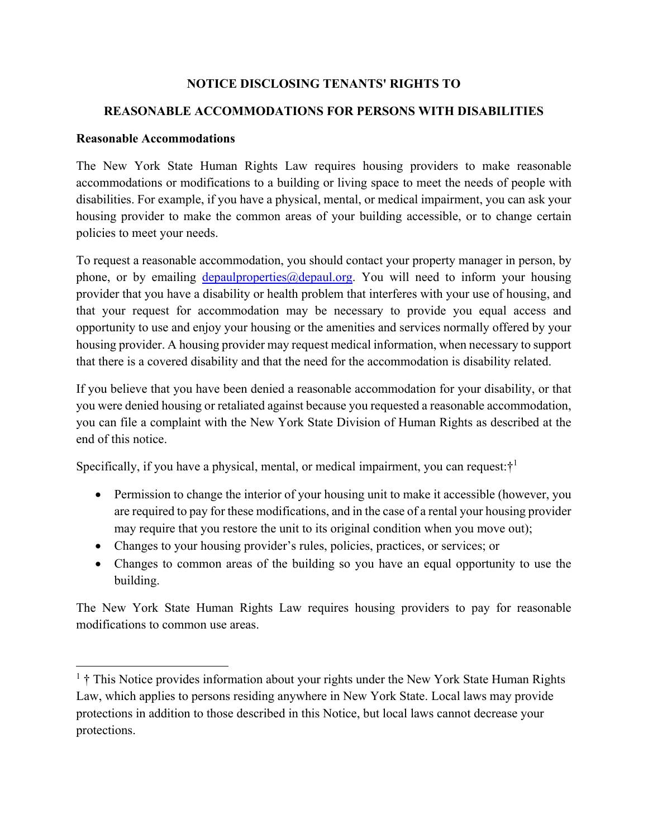### **NOTICE DISCLOSING TENANTS' RIGHTS TO**

### **REASONABLE ACCOMMODATIONS FOR PERSONS WITH DISABILITIES**

#### **Reasonable Accommodations**

The New York State Human Rights Law requires housing providers to make reasonable accommodations or modifications to a building or living space to meet the needs of people with disabilities. For example, if you have a physical, mental, or medical impairment, you can ask your housing provider to make the common areas of your building accessible, or to change certain policies to meet your needs.

To request a reasonable accommodation, you should contact your property manager in person, by phone, or by emailing  $depaulproperties@depaul.org$ . You will need to inform your housing provider that you have a disability or health problem that interferes with your use of housing, and that your request for accommodation may be necessary to provide you equal access and opportunity to use and enjoy your housing or the amenities and services normally offered by your housing provider. A housing provider may request medical information, when necessary to support that there is a covered disability and that the need for the accommodation is disability related.

If you believe that you have been denied a reasonable accommodation for your disability, or that you were denied housing or retaliated against because you requested a reasonable accommodation, you can file a complaint with the New York State Division of Human Rights as described at the end of this notice.

Specifically, if you have a physical, mental, or medical impairment, you can request: $\dot{\tau}^1$ 

- Permission to change the interior of your housing unit to make it accessible (however, you are required to pay for these modifications, and in the case of a rental your housing provider may require that you restore the unit to its original condition when you move out);
- Changes to your housing provider's rules, policies, practices, or services; or
- Changes to common areas of the building so you have an equal opportunity to use the building.

The New York State Human Rights Law requires housing providers to pay for reasonable modifications to common use areas.

 $<sup>1</sup>$  † This Notice provides information about your rights under the New York State Human Rights</sup> Law, which applies to persons residing anywhere in New York State. Local laws may provide protections in addition to those described in this Notice, but local laws cannot decrease your protections.